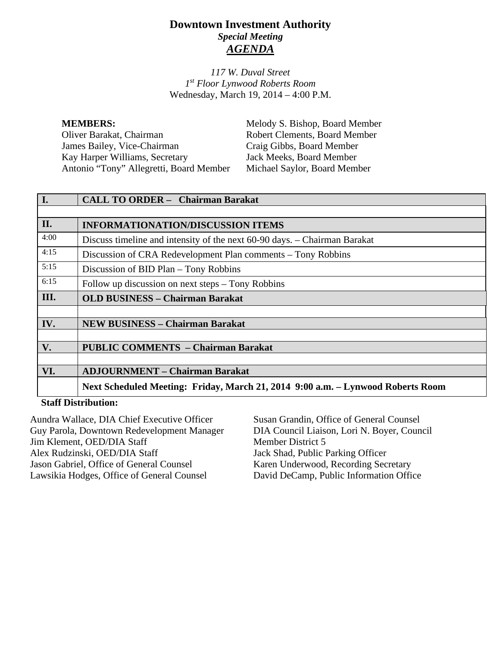# **Downtown Investment Authority** *Special Meeting AGENDA*

*117 W. Duval Street 1st Floor Lynwood Roberts Room* Wednesday, March 19, 2014 – 4:00 P.M.

**MEMBERS:** Melody S. Bishop, Board Member Oliver Barakat, Chairman Robert Clements, Board Member<br>
James Bailey. Vice-Chairman Craig Gibbs. Board Member James Bailey, Vice-Chairman Kay Harper Williams, Secretary Jack Meeks, Board Member Antonio "Tony" Allegretti, Board Member Michael Saylor, Board Member

| $\overline{I}$ . | <b>CALL TO ORDER - Chairman Barakat</b>                                         |
|------------------|---------------------------------------------------------------------------------|
|                  |                                                                                 |
| II.              | <b>INFORMATIONATION/DISCUSSION ITEMS</b>                                        |
| 4:00             | Discuss timeline and intensity of the next 60-90 days. – Chairman Barakat       |
| 4:15             | Discussion of CRA Redevelopment Plan comments – Tony Robbins                    |
| 5:15             | Discussion of BID Plan - Tony Robbins                                           |
| 6:15             | Follow up discussion on next steps – Tony Robbins                               |
| III.             | <b>OLD BUSINESS - Chairman Barakat</b>                                          |
|                  |                                                                                 |
| IV.              | <b>NEW BUSINESS - Chairman Barakat</b>                                          |
|                  |                                                                                 |
| V.               | <b>PUBLIC COMMENTS - Chairman Barakat</b>                                       |
|                  |                                                                                 |
| VI.              | <b>ADJOURNMENT - Chairman Barakat</b>                                           |
|                  | Next Scheduled Meeting: Friday, March 21, 2014 9:00 a.m. - Lynwood Roberts Room |

#### **Staff Distribution:**

Aundra Wallace, DIA Chief Executive Officer Guy Parola, Downtown Redevelopment Manager Jim Klement, OED/DIA Staff Alex Rudzinski, OED/DIA Staff Jason Gabriel, Office of General Counsel Lawsikia Hodges, Office of General Counsel

Susan Grandin, Office of General Counsel DIA Council Liaison, Lori N. Boyer, Council Member District 5 Jack Shad, Public Parking Officer Karen Underwood, Recording Secretary David DeCamp, Public Information Office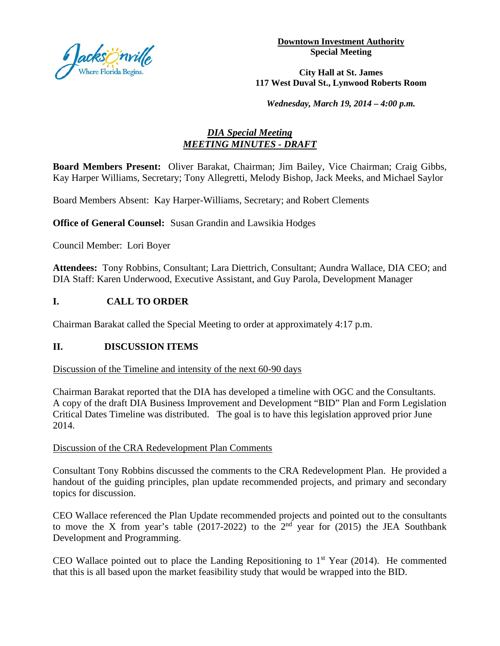

**Downtown Investment Authority Special Meeting** 

#### **City Hall at St. James 117 West Duval St., Lynwood Roberts Room**

*Wednesday, March 19, 2014 – 4:00 p.m.*

## *DIA Special Meeting MEETING MINUTES - DRAFT*

**Board Members Present:** Oliver Barakat, Chairman; Jim Bailey, Vice Chairman; Craig Gibbs, Kay Harper Williams, Secretary; Tony Allegretti, Melody Bishop, Jack Meeks, and Michael Saylor

Board Members Absent: Kay Harper-Williams, Secretary; and Robert Clements

**Office of General Counsel:** Susan Grandin and Lawsikia Hodges

Council Member: Lori Boyer

**Attendees:** Tony Robbins, Consultant; Lara Diettrich, Consultant; Aundra Wallace, DIA CEO; and DIA Staff: Karen Underwood, Executive Assistant, and Guy Parola, Development Manager

## **I. CALL TO ORDER**

Chairman Barakat called the Special Meeting to order at approximately 4:17 p.m.

#### **II. DISCUSSION ITEMS**

#### Discussion of the Timeline and intensity of the next 60-90 days

Chairman Barakat reported that the DIA has developed a timeline with OGC and the Consultants. A copy of the draft DIA Business Improvement and Development "BID" Plan and Form Legislation Critical Dates Timeline was distributed. The goal is to have this legislation approved prior June 2014.

### Discussion of the CRA Redevelopment Plan Comments

Consultant Tony Robbins discussed the comments to the CRA Redevelopment Plan. He provided a handout of the guiding principles, plan update recommended projects, and primary and secondary topics for discussion.

CEO Wallace referenced the Plan Update recommended projects and pointed out to the consultants to move the X from year's table (2017-2022) to the  $2<sup>nd</sup>$  year for (2015) the JEA Southbank Development and Programming.

CEO Wallace pointed out to place the Landing Repositioning to  $1<sup>st</sup>$  Year (2014). He commented that this is all based upon the market feasibility study that would be wrapped into the BID.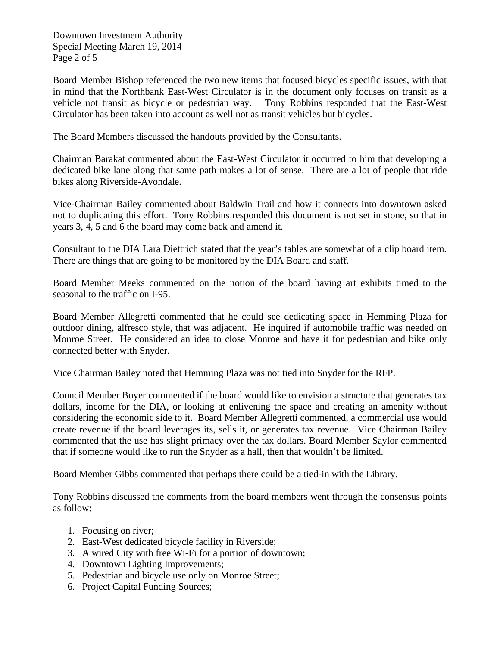Downtown Investment Authority Special Meeting March 19, 2014 Page 2 of 5

Board Member Bishop referenced the two new items that focused bicycles specific issues, with that in mind that the Northbank East-West Circulator is in the document only focuses on transit as a vehicle not transit as bicycle or pedestrian way. Tony Robbins responded that the East-West Circulator has been taken into account as well not as transit vehicles but bicycles.

The Board Members discussed the handouts provided by the Consultants.

Chairman Barakat commented about the East-West Circulator it occurred to him that developing a dedicated bike lane along that same path makes a lot of sense. There are a lot of people that ride bikes along Riverside-Avondale.

Vice-Chairman Bailey commented about Baldwin Trail and how it connects into downtown asked not to duplicating this effort. Tony Robbins responded this document is not set in stone, so that in years 3, 4, 5 and 6 the board may come back and amend it.

Consultant to the DIA Lara Diettrich stated that the year's tables are somewhat of a clip board item. There are things that are going to be monitored by the DIA Board and staff.

Board Member Meeks commented on the notion of the board having art exhibits timed to the seasonal to the traffic on I-95.

Board Member Allegretti commented that he could see dedicating space in Hemming Plaza for outdoor dining, alfresco style, that was adjacent. He inquired if automobile traffic was needed on Monroe Street. He considered an idea to close Monroe and have it for pedestrian and bike only connected better with Snyder.

Vice Chairman Bailey noted that Hemming Plaza was not tied into Snyder for the RFP.

Council Member Boyer commented if the board would like to envision a structure that generates tax dollars, income for the DIA, or looking at enlivening the space and creating an amenity without considering the economic side to it. Board Member Allegretti commented, a commercial use would create revenue if the board leverages its, sells it, or generates tax revenue. Vice Chairman Bailey commented that the use has slight primacy over the tax dollars. Board Member Saylor commented that if someone would like to run the Snyder as a hall, then that wouldn't be limited.

Board Member Gibbs commented that perhaps there could be a tied-in with the Library.

Tony Robbins discussed the comments from the board members went through the consensus points as follow:

- 1. Focusing on river;
- 2. East-West dedicated bicycle facility in Riverside;
- 3. A wired City with free Wi-Fi for a portion of downtown;
- 4. Downtown Lighting Improvements;
- 5. Pedestrian and bicycle use only on Monroe Street;
- 6. Project Capital Funding Sources;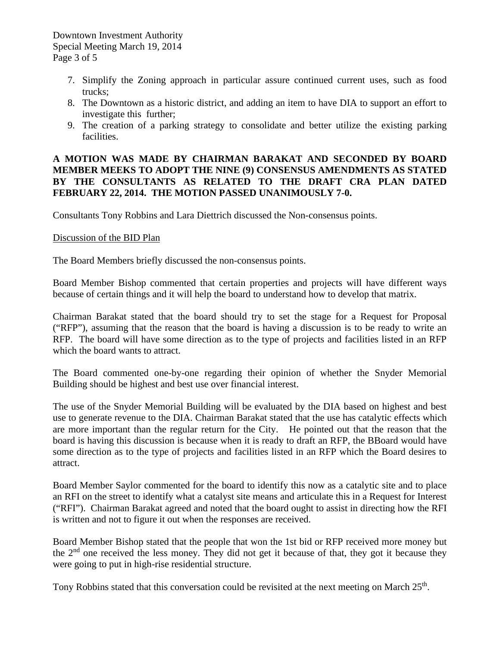- 7. Simplify the Zoning approach in particular assure continued current uses, such as food trucks;
- 8. The Downtown as a historic district, and adding an item to have DIA to support an effort to investigate this further;
- 9. The creation of a parking strategy to consolidate and better utilize the existing parking facilities.

### **A MOTION WAS MADE BY CHAIRMAN BARAKAT AND SECONDED BY BOARD MEMBER MEEKS TO ADOPT THE NINE (9) CONSENSUS AMENDMENTS AS STATED BY THE CONSULTANTS AS RELATED TO THE DRAFT CRA PLAN DATED FEBRUARY 22, 2014. THE MOTION PASSED UNANIMOUSLY 7-0.**

Consultants Tony Robbins and Lara Diettrich discussed the Non-consensus points.

### Discussion of the BID Plan

The Board Members briefly discussed the non-consensus points.

Board Member Bishop commented that certain properties and projects will have different ways because of certain things and it will help the board to understand how to develop that matrix.

Chairman Barakat stated that the board should try to set the stage for a Request for Proposal ("RFP"), assuming that the reason that the board is having a discussion is to be ready to write an RFP. The board will have some direction as to the type of projects and facilities listed in an RFP which the board wants to attract.

The Board commented one-by-one regarding their opinion of whether the Snyder Memorial Building should be highest and best use over financial interest.

The use of the Snyder Memorial Building will be evaluated by the DIA based on highest and best use to generate revenue to the DIA. Chairman Barakat stated that the use has catalytic effects which are more important than the regular return for the City. He pointed out that the reason that the board is having this discussion is because when it is ready to draft an RFP, the BBoard would have some direction as to the type of projects and facilities listed in an RFP which the Board desires to attract.

Board Member Saylor commented for the board to identify this now as a catalytic site and to place an RFI on the street to identify what a catalyst site means and articulate this in a Request for Interest ("RFI"). Chairman Barakat agreed and noted that the board ought to assist in directing how the RFI is written and not to figure it out when the responses are received.

Board Member Bishop stated that the people that won the 1st bid or RFP received more money but the  $2<sup>nd</sup>$  one received the less money. They did not get it because of that, they got it because they were going to put in high-rise residential structure.

Tony Robbins stated that this conversation could be revisited at the next meeting on March 25<sup>th</sup>.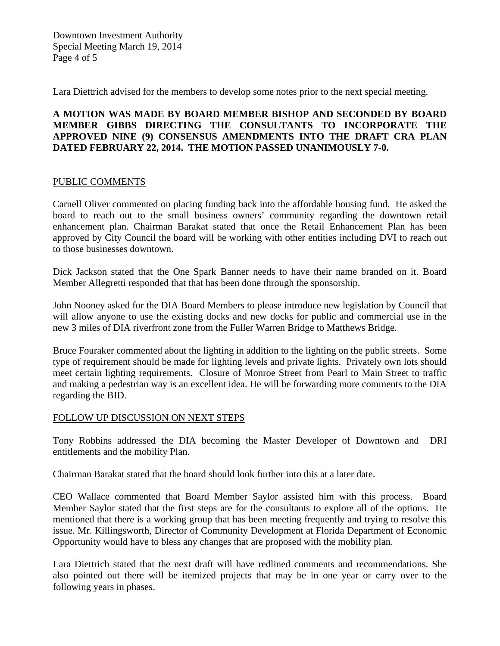Downtown Investment Authority Special Meeting March 19, 2014 Page 4 of 5

Lara Diettrich advised for the members to develop some notes prior to the next special meeting.

### **A MOTION WAS MADE BY BOARD MEMBER BISHOP AND SECONDED BY BOARD MEMBER GIBBS DIRECTING THE CONSULTANTS TO INCORPORATE THE APPROVED NINE (9) CONSENSUS AMENDMENTS INTO THE DRAFT CRA PLAN DATED FEBRUARY 22, 2014. THE MOTION PASSED UNANIMOUSLY 7-0.**

#### PUBLIC COMMENTS

Carnell Oliver commented on placing funding back into the affordable housing fund. He asked the board to reach out to the small business owners' community regarding the downtown retail enhancement plan. Chairman Barakat stated that once the Retail Enhancement Plan has been approved by City Council the board will be working with other entities including DVI to reach out to those businesses downtown.

Dick Jackson stated that the One Spark Banner needs to have their name branded on it. Board Member Allegretti responded that that has been done through the sponsorship.

John Nooney asked for the DIA Board Members to please introduce new legislation by Council that will allow anyone to use the existing docks and new docks for public and commercial use in the new 3 miles of DIA riverfront zone from the Fuller Warren Bridge to Matthews Bridge.

Bruce Fouraker commented about the lighting in addition to the lighting on the public streets. Some type of requirement should be made for lighting levels and private lights. Privately own lots should meet certain lighting requirements. Closure of Monroe Street from Pearl to Main Street to traffic and making a pedestrian way is an excellent idea. He will be forwarding more comments to the DIA regarding the BID.

## FOLLOW UP DISCUSSION ON NEXT STEPS

Tony Robbins addressed the DIA becoming the Master Developer of Downtown and DRI entitlements and the mobility Plan.

Chairman Barakat stated that the board should look further into this at a later date.

CEO Wallace commented that Board Member Saylor assisted him with this process. Board Member Saylor stated that the first steps are for the consultants to explore all of the options. He mentioned that there is a working group that has been meeting frequently and trying to resolve this issue. Mr. Killingsworth, Director of Community Development at Florida Department of Economic Opportunity would have to bless any changes that are proposed with the mobility plan.

Lara Diettrich stated that the next draft will have redlined comments and recommendations. She also pointed out there will be itemized projects that may be in one year or carry over to the following years in phases.